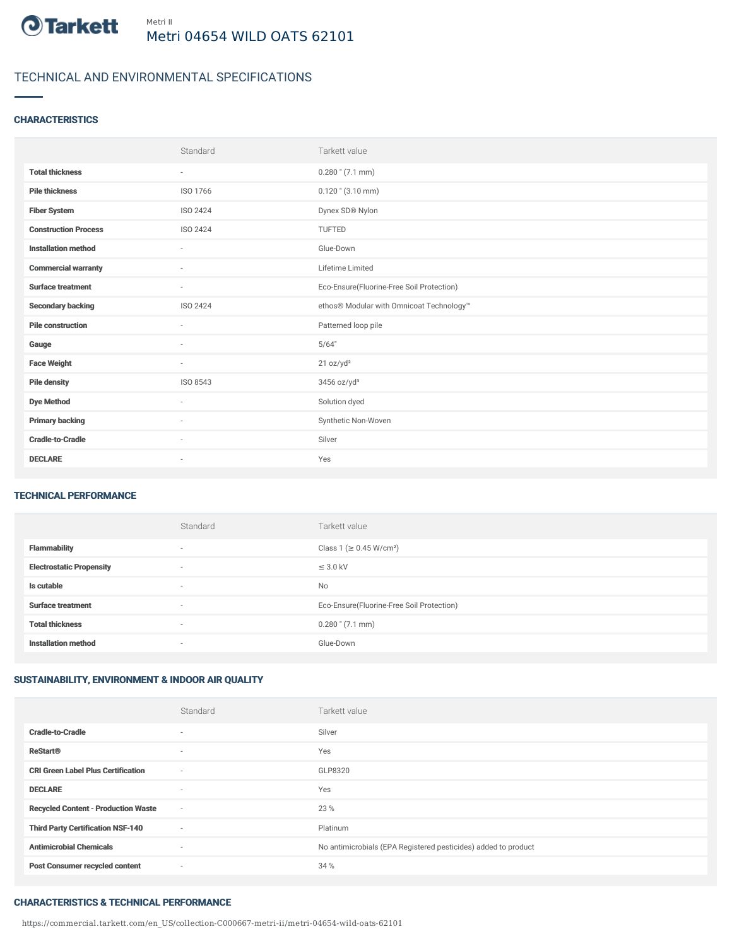

# TECHNICAL AND ENVIRONMENTAL SPECIFICATIONS

## **CHARACTERISTICS**

|                             | Standard                 | Tarkett value                             |
|-----------------------------|--------------------------|-------------------------------------------|
| <b>Total thickness</b>      | $\overline{\phantom{a}}$ | $0.280$ " $(7.1$ mm)                      |
| <b>Pile thickness</b>       | ISO 1766                 | $0.120$ " $(3.10$ mm)                     |
| <b>Fiber System</b>         | ISO 2424                 | Dynex SD® Nylon                           |
| <b>Construction Process</b> | ISO 2424                 | TUFTED                                    |
| <b>Installation method</b>  | $\sim$                   | Glue-Down                                 |
| <b>Commercial warranty</b>  | ٠                        | Lifetime Limited                          |
| <b>Surface treatment</b>    | ٠                        | Eco-Ensure(Fluorine-Free Soil Protection) |
| <b>Secondary backing</b>    | ISO 2424                 | ethos® Modular with Omnicoat Technology™  |
| <b>Pile construction</b>    | $\overline{\phantom{a}}$ | Patterned loop pile                       |
| Gauge                       | $\sim$                   | 5/64"                                     |
| <b>Face Weight</b>          | $\sim$                   | 21 oz/yd <sup>2</sup>                     |
| <b>Pile density</b>         | ISO 8543                 | 3456 oz/yd <sup>3</sup>                   |
| <b>Dye Method</b>           | ٠                        | Solution dyed                             |
| <b>Primary backing</b>      | ٠                        | Synthetic Non-Woven                       |
| <b>Cradle-to-Cradle</b>     | ٠                        | Silver                                    |
| <b>DECLARE</b>              | ٠                        | Yes                                       |

### TECHNICAL PERFORMANCE

|                                 | Standard | Tarkett value                             |
|---------------------------------|----------|-------------------------------------------|
| <b>Flammability</b>             | $\sim$   | Class 1 (≥ 0.45 W/cm <sup>2</sup> )       |
| <b>Electrostatic Propensity</b> | $\sim$   | $\leq$ 3.0 kV                             |
| Is cutable                      | $\sim$   | No                                        |
| <b>Surface treatment</b>        | $\sim$   | Eco-Ensure(Fluorine-Free Soil Protection) |
| <b>Total thickness</b>          | $\sim$   | $0.280$ " $(7.1$ mm)                      |
| <b>Installation method</b>      | $\sim$   | Glue-Down                                 |

# SUSTAINABILITY, ENVIRONMENT & INDOOR AIR QUALITY

|                                            | Standard                 | Tarkett value                                                  |
|--------------------------------------------|--------------------------|----------------------------------------------------------------|
| <b>Cradle-to-Cradle</b>                    | $\sim$                   | Silver                                                         |
| <b>ReStart<sup>®</sup></b>                 | $\sim$                   | Yes                                                            |
| <b>CRI Green Label Plus Certification</b>  | $\sim$                   | GLP8320                                                        |
| <b>DECLARE</b>                             | $\sim$                   | Yes                                                            |
| <b>Recycled Content - Production Waste</b> | $\sim$                   | 23 %                                                           |
| <b>Third Party Certification NSF-140</b>   | $\sim$                   | Platinum                                                       |
| <b>Antimicrobial Chemicals</b>             | $\overline{\phantom{a}}$ | No antimicrobials (EPA Registered pesticides) added to product |
| <b>Post Consumer recycled content</b>      | $\sim$                   | 34 %                                                           |

#### CHARACTERISTICS & TECHNICAL PERFORMANCE